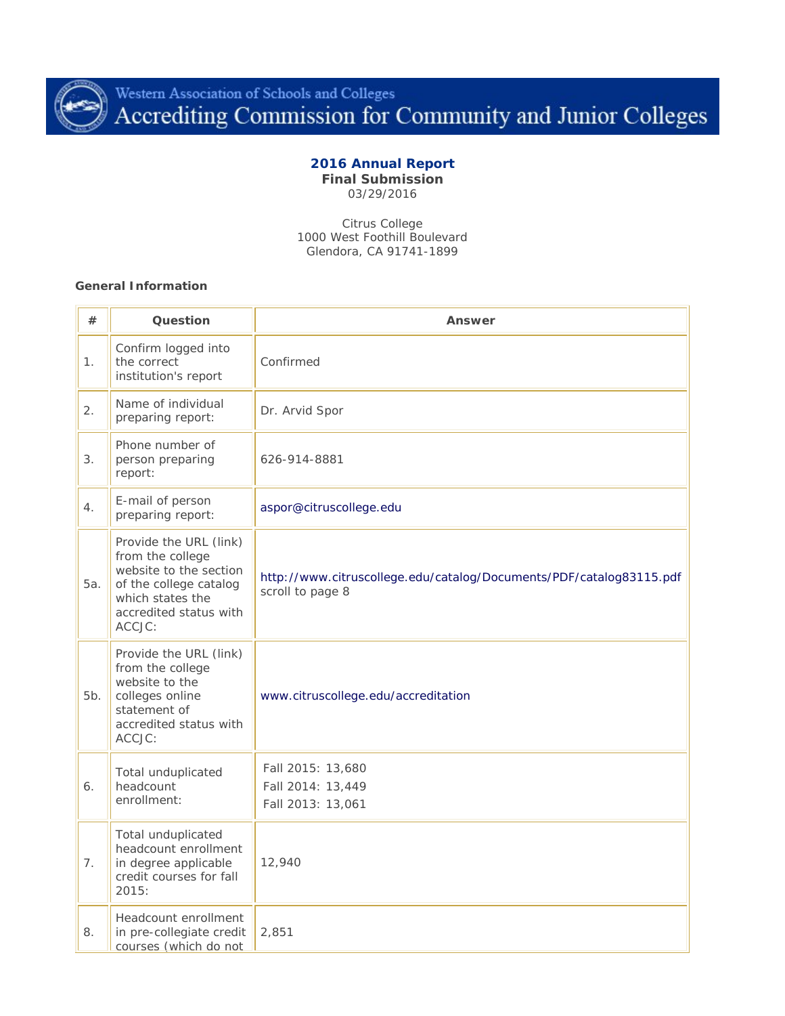

Western Association of Schools and Colleges Accrediting Commission for Community and Junior Colleges

#### **2016 Annual Report Final Submission** 03/29/2016

Citrus College 1000 West Foothill Boulevard Glendora, CA 91741-1899

#### **General Information**

| #   | Question                                                                                                                                               | Answer                                                                                  |  |
|-----|--------------------------------------------------------------------------------------------------------------------------------------------------------|-----------------------------------------------------------------------------------------|--|
| 1.  | Confirm logged into<br>the correct<br>institution's report                                                                                             | Confirmed                                                                               |  |
| 2.  | Name of individual<br>preparing report:                                                                                                                | Dr. Arvid Spor                                                                          |  |
| 3.  | Phone number of<br>person preparing<br>report:                                                                                                         | 626-914-8881                                                                            |  |
| 4.  | E-mail of person<br>preparing report:                                                                                                                  | aspor@citruscollege.edu                                                                 |  |
| 5а. | Provide the URL (link)<br>from the college<br>website to the section<br>of the college catalog<br>which states the<br>accredited status with<br>ACCJC: | http://www.citruscollege.edu/catalog/Documents/PDF/catalog83115.pdf<br>scroll to page 8 |  |
| 5b. | Provide the URL (link)<br>from the college<br>website to the<br>colleges online<br>statement of<br>accredited status with<br>ACCJC:                    | www.citruscollege.edu/accreditation                                                     |  |
| 6.  | Total unduplicated<br>headcount<br>enrollment:                                                                                                         | Fall 2015: 13,680<br>Fall 2014: 13,449<br>Fall 2013: 13,061                             |  |
| 7.  | Total unduplicated<br>headcount enrollment<br>in degree applicable<br>credit courses for fall<br>2015:                                                 | 12,940                                                                                  |  |
| 8.  | Headcount enrollment<br>in pre-collegiate credit<br>courses (which do not                                                                              | 2,851                                                                                   |  |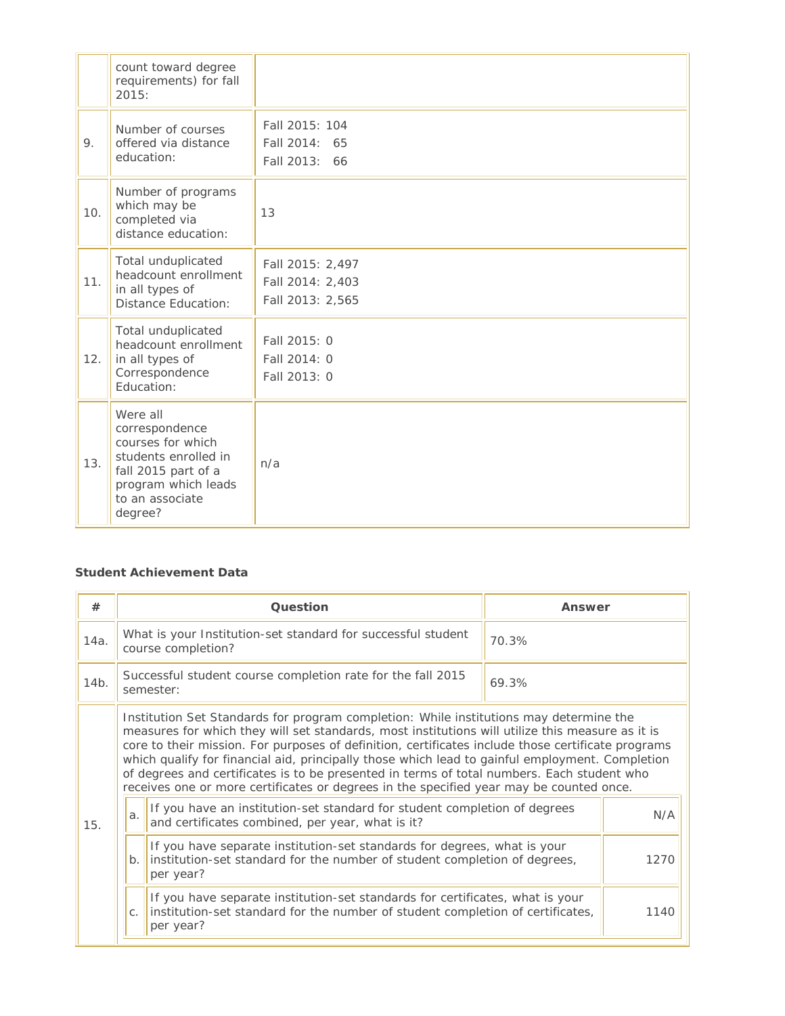|     | count toward degree<br>requirements) for fall<br>2015:                                                                                              |                                                          |
|-----|-----------------------------------------------------------------------------------------------------------------------------------------------------|----------------------------------------------------------|
| 9.  | Number of courses<br>offered via distance<br>education:                                                                                             | Fall 2015: 104<br>Fall 2014: 65<br>Fall 2013: 66         |
| 10. | Number of programs<br>which may be<br>completed via<br>distance education:                                                                          | 13                                                       |
| 11. | Total unduplicated<br>headcount enrollment<br>in all types of<br><b>Distance Education:</b>                                                         | Fall 2015: 2,497<br>Fall 2014: 2,403<br>Fall 2013: 2,565 |
| 12. | Total unduplicated<br>headcount enrollment<br>in all types of<br>Correspondence<br>Education:                                                       | Fall 2015: 0<br>Fall 2014: 0<br>Fall 2013: 0             |
| 13. | Were all<br>correspondence<br>courses for which<br>students enrolled in<br>fall 2015 part of a<br>program which leads<br>to an associate<br>degree? | n/a                                                      |

# **Student Achievement Data**

| #    | Question                                                                                                                                                                                                                                                                                                                                                                                                                                                                                                                                                                                     |                                                                                                                                                                              | Answer |      |
|------|----------------------------------------------------------------------------------------------------------------------------------------------------------------------------------------------------------------------------------------------------------------------------------------------------------------------------------------------------------------------------------------------------------------------------------------------------------------------------------------------------------------------------------------------------------------------------------------------|------------------------------------------------------------------------------------------------------------------------------------------------------------------------------|--------|------|
| 14a. | What is your Institution-set standard for successful student<br>70.3%<br>course completion?                                                                                                                                                                                                                                                                                                                                                                                                                                                                                                  |                                                                                                                                                                              |        |      |
| 14b. | Successful student course completion rate for the fall 2015<br>69.3%<br>semester:                                                                                                                                                                                                                                                                                                                                                                                                                                                                                                            |                                                                                                                                                                              |        |      |
|      | Institution Set Standards for program completion: While institutions may determine the<br>measures for which they will set standards, most institutions will utilize this measure as it is<br>core to their mission. For purposes of definition, certificates include those certificate programs<br>which qualify for financial aid, principally those which lead to gainful employment. Completion<br>of degrees and certificates is to be presented in terms of total numbers. Each student who<br>receives one or more certificates or degrees in the specified year may be counted once. |                                                                                                                                                                              |        |      |
| 15.  | a.                                                                                                                                                                                                                                                                                                                                                                                                                                                                                                                                                                                           | If you have an institution-set standard for student completion of degrees<br>and certificates combined, per year, what is it?                                                |        | N/A  |
|      | If you have separate institution-set standards for degrees, what is your<br>b. $\parallel$ institution-set standard for the number of student completion of degrees,<br>per year?                                                                                                                                                                                                                                                                                                                                                                                                            |                                                                                                                                                                              | 1270   |      |
|      | C.                                                                                                                                                                                                                                                                                                                                                                                                                                                                                                                                                                                           | If you have separate institution-set standards for certificates, what is your<br>institution-set standard for the number of student completion of certificates,<br>per year? |        | 1140 |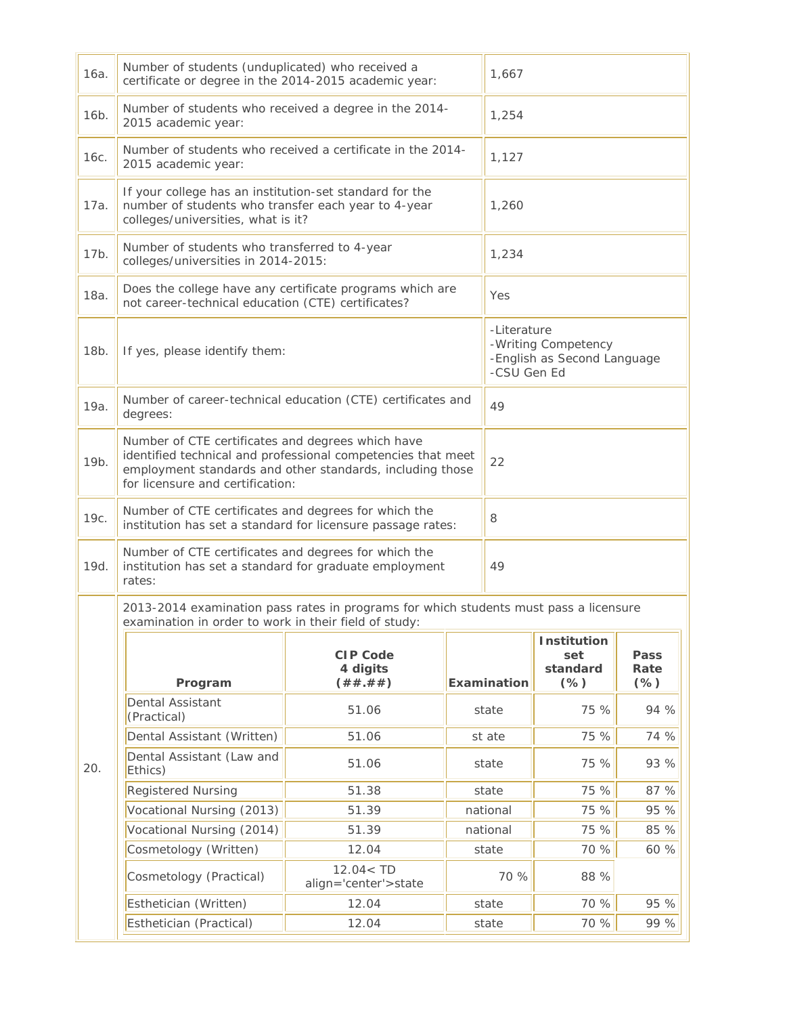| 16a. | Number of students (unduplicated) who received a<br>certificate or degree in the 2014-2015 academic year:                                                                                                          |                                          |          | 1,667                      |                                                    |                        |
|------|--------------------------------------------------------------------------------------------------------------------------------------------------------------------------------------------------------------------|------------------------------------------|----------|----------------------------|----------------------------------------------------|------------------------|
| 16b. | Number of students who received a degree in the 2014-<br>2015 academic year:                                                                                                                                       |                                          |          | 1,254                      |                                                    |                        |
| 16с. | Number of students who received a certificate in the 2014-<br>2015 academic year:                                                                                                                                  |                                          |          | 1,127                      |                                                    |                        |
| 17a. | If your college has an institution-set standard for the<br>number of students who transfer each year to 4-year<br>colleges/universities, what is it?                                                               |                                          |          | 1,260                      |                                                    |                        |
| 17b. | Number of students who transferred to 4-year<br>colleges/universities in 2014-2015:                                                                                                                                |                                          |          | 1,234                      |                                                    |                        |
| 18a. | Does the college have any certificate programs which are<br>not career-technical education (CTE) certificates?                                                                                                     |                                          |          | Yes                        |                                                    |                        |
| 18b. | If yes, please identify them:                                                                                                                                                                                      |                                          |          | -Literature<br>-CSU Gen Ed | -Writing Competency<br>-English as Second Language |                        |
| 19a. | Number of career-technical education (CTE) certificates and<br>degrees:                                                                                                                                            |                                          |          | 49                         |                                                    |                        |
| 19b. | Number of CTE certificates and degrees which have<br>identified technical and professional competencies that meet<br>employment standards and other standards, including those<br>for licensure and certification: |                                          |          | 22                         |                                                    |                        |
| 19с. | Number of CTE certificates and degrees for which the<br>institution has set a standard for licensure passage rates:                                                                                                |                                          |          | 8                          |                                                    |                        |
| 19d. | Number of CTE certificates and degrees for which the<br>institution has set a standard for graduate employment<br>rates:                                                                                           |                                          |          | 49                         |                                                    |                        |
|      | 2013-2014 examination pass rates in programs for which students must pass a licensure<br>examination in order to work in their field of study:                                                                     |                                          |          |                            |                                                    |                        |
|      | Program                                                                                                                                                                                                            | <b>CIP Code</b><br>4 digits<br>( ## .##) |          | Examination                | <b>Institution</b><br>set<br>standard<br>$(\%)$    | Pass<br>Rate<br>$(\%)$ |
|      | Dental Assistant<br>(Practical)                                                                                                                                                                                    | 51.06                                    |          | state                      | 75 %                                               | 94 %                   |
|      | Dental Assistant (Written)                                                                                                                                                                                         | 51.06                                    |          | st ate                     | 75 %                                               | 74 %                   |
| 20.  | Dental Assistant (Law and<br>Ethics)                                                                                                                                                                               | 51.06                                    | state    |                            | 75 %                                               | 93 %                   |
|      | <b>Registered Nursing</b><br>51.38                                                                                                                                                                                 |                                          | state    | 75 %                       | 87 %                                               |                        |
|      | Vocational Nursing (2013)<br>51.39                                                                                                                                                                                 |                                          | national | 75 %                       | 95 %                                               |                        |
|      | Vocational Nursing (2014)<br>51.39                                                                                                                                                                                 |                                          | national | 75 %                       | 85 %                                               |                        |
|      | Cosmetology (Written)                                                                                                                                                                                              | 12.04                                    |          | state                      | 70 %                                               | 60 %                   |
|      | Cosmetology (Practical)                                                                                                                                                                                            | 12.04 < TD<br>align='center'>state       |          | 70 %                       | 88 %                                               |                        |
|      | Esthetician (Written)                                                                                                                                                                                              | 12.04                                    |          | state                      | 70 %                                               | 95 %                   |
|      | Esthetician (Practical)                                                                                                                                                                                            | 12.04                                    |          | state                      | 70 %                                               | 99 %                   |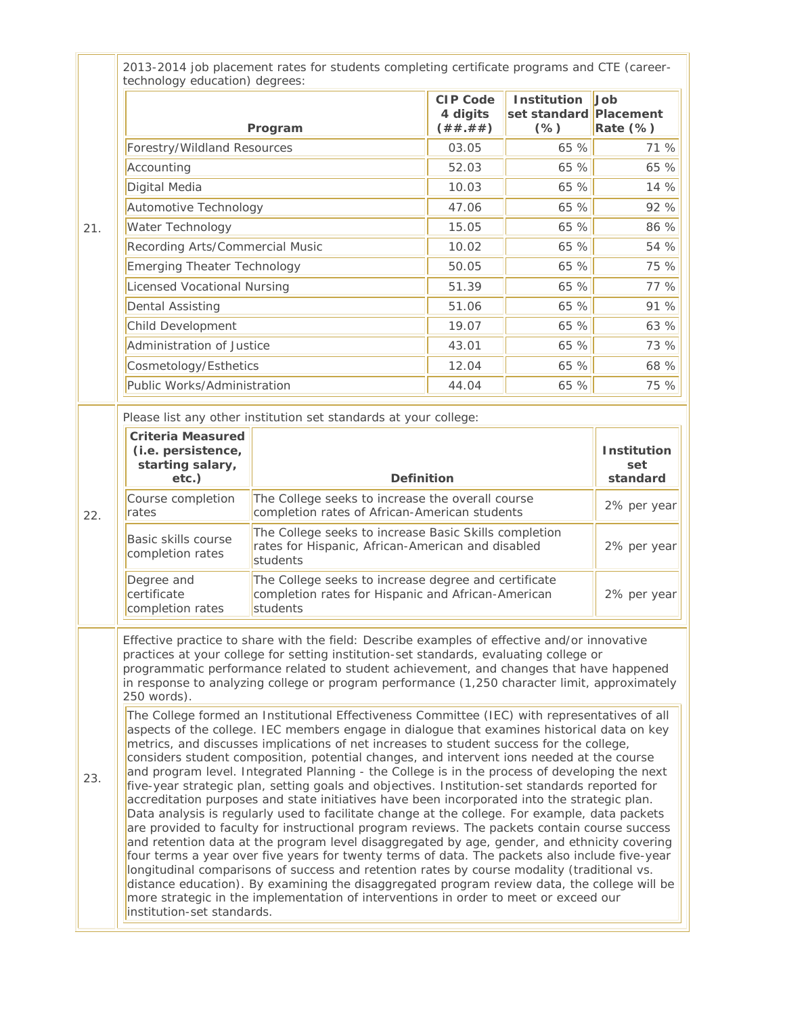|     | technology education) degrees:                                                                                                                                                                                                                                                                                                                                                                                                                                                                                                                                                                                                                                                                                                                                                                                                                                                                                                                                                                                                                                                                                                                                                                                                                                                                                                                                                                                                                                                                                                                                                                                                                                                                                                                                                                                          | 2013-2014 job placement rates for students completing certificate programs and CTE (career-                            |                                          |                                                        |                    |
|-----|-------------------------------------------------------------------------------------------------------------------------------------------------------------------------------------------------------------------------------------------------------------------------------------------------------------------------------------------------------------------------------------------------------------------------------------------------------------------------------------------------------------------------------------------------------------------------------------------------------------------------------------------------------------------------------------------------------------------------------------------------------------------------------------------------------------------------------------------------------------------------------------------------------------------------------------------------------------------------------------------------------------------------------------------------------------------------------------------------------------------------------------------------------------------------------------------------------------------------------------------------------------------------------------------------------------------------------------------------------------------------------------------------------------------------------------------------------------------------------------------------------------------------------------------------------------------------------------------------------------------------------------------------------------------------------------------------------------------------------------------------------------------------------------------------------------------------|------------------------------------------------------------------------------------------------------------------------|------------------------------------------|--------------------------------------------------------|--------------------|
|     |                                                                                                                                                                                                                                                                                                                                                                                                                                                                                                                                                                                                                                                                                                                                                                                                                                                                                                                                                                                                                                                                                                                                                                                                                                                                                                                                                                                                                                                                                                                                                                                                                                                                                                                                                                                                                         | Program                                                                                                                | <b>CIP Code</b><br>4 digits<br>( ## .##) | <b>Institution</b><br>set standard Placement<br>$(\%)$ | Job<br>Rate $(\%)$ |
|     | Forestry/Wildland Resources                                                                                                                                                                                                                                                                                                                                                                                                                                                                                                                                                                                                                                                                                                                                                                                                                                                                                                                                                                                                                                                                                                                                                                                                                                                                                                                                                                                                                                                                                                                                                                                                                                                                                                                                                                                             |                                                                                                                        | 03.05                                    | 65 %                                                   | 71 %               |
|     | Accounting                                                                                                                                                                                                                                                                                                                                                                                                                                                                                                                                                                                                                                                                                                                                                                                                                                                                                                                                                                                                                                                                                                                                                                                                                                                                                                                                                                                                                                                                                                                                                                                                                                                                                                                                                                                                              |                                                                                                                        | 52.03                                    | 65 %                                                   | 65 %               |
|     | Digital Media                                                                                                                                                                                                                                                                                                                                                                                                                                                                                                                                                                                                                                                                                                                                                                                                                                                                                                                                                                                                                                                                                                                                                                                                                                                                                                                                                                                                                                                                                                                                                                                                                                                                                                                                                                                                           |                                                                                                                        | 10.03                                    | 65 %                                                   | 14 %               |
|     | Automotive Technology                                                                                                                                                                                                                                                                                                                                                                                                                                                                                                                                                                                                                                                                                                                                                                                                                                                                                                                                                                                                                                                                                                                                                                                                                                                                                                                                                                                                                                                                                                                                                                                                                                                                                                                                                                                                   |                                                                                                                        | 47.06                                    | 65 %                                                   | 92 %               |
| 21. | Water Technology                                                                                                                                                                                                                                                                                                                                                                                                                                                                                                                                                                                                                                                                                                                                                                                                                                                                                                                                                                                                                                                                                                                                                                                                                                                                                                                                                                                                                                                                                                                                                                                                                                                                                                                                                                                                        |                                                                                                                        | 15.05                                    | 65 %                                                   | 86 %               |
|     | Recording Arts/Commercial Music                                                                                                                                                                                                                                                                                                                                                                                                                                                                                                                                                                                                                                                                                                                                                                                                                                                                                                                                                                                                                                                                                                                                                                                                                                                                                                                                                                                                                                                                                                                                                                                                                                                                                                                                                                                         |                                                                                                                        | 10.02                                    | 65 %                                                   | 54 %               |
|     | Emerging Theater Technology                                                                                                                                                                                                                                                                                                                                                                                                                                                                                                                                                                                                                                                                                                                                                                                                                                                                                                                                                                                                                                                                                                                                                                                                                                                                                                                                                                                                                                                                                                                                                                                                                                                                                                                                                                                             |                                                                                                                        | 50.05                                    | 65 %                                                   | 75 %               |
|     | Licensed Vocational Nursing                                                                                                                                                                                                                                                                                                                                                                                                                                                                                                                                                                                                                                                                                                                                                                                                                                                                                                                                                                                                                                                                                                                                                                                                                                                                                                                                                                                                                                                                                                                                                                                                                                                                                                                                                                                             |                                                                                                                        | 51.39                                    | 65 %                                                   | 77 %               |
|     | <b>Dental Assisting</b>                                                                                                                                                                                                                                                                                                                                                                                                                                                                                                                                                                                                                                                                                                                                                                                                                                                                                                                                                                                                                                                                                                                                                                                                                                                                                                                                                                                                                                                                                                                                                                                                                                                                                                                                                                                                 |                                                                                                                        | 51.06                                    | 65 %                                                   | 91 %               |
|     | Child Development                                                                                                                                                                                                                                                                                                                                                                                                                                                                                                                                                                                                                                                                                                                                                                                                                                                                                                                                                                                                                                                                                                                                                                                                                                                                                                                                                                                                                                                                                                                                                                                                                                                                                                                                                                                                       |                                                                                                                        | 19.07                                    | 65 %                                                   | 63 %               |
|     | Administration of Justice                                                                                                                                                                                                                                                                                                                                                                                                                                                                                                                                                                                                                                                                                                                                                                                                                                                                                                                                                                                                                                                                                                                                                                                                                                                                                                                                                                                                                                                                                                                                                                                                                                                                                                                                                                                               |                                                                                                                        | 43.01                                    | 65 %                                                   | 73 %               |
|     | Cosmetology/Esthetics                                                                                                                                                                                                                                                                                                                                                                                                                                                                                                                                                                                                                                                                                                                                                                                                                                                                                                                                                                                                                                                                                                                                                                                                                                                                                                                                                                                                                                                                                                                                                                                                                                                                                                                                                                                                   |                                                                                                                        | 12.04                                    | 65 %                                                   | 68 %               |
|     | Public Works/Administration                                                                                                                                                                                                                                                                                                                                                                                                                                                                                                                                                                                                                                                                                                                                                                                                                                                                                                                                                                                                                                                                                                                                                                                                                                                                                                                                                                                                                                                                                                                                                                                                                                                                                                                                                                                             |                                                                                                                        | 44.04                                    | 65 %                                                   | 75 %               |
|     |                                                                                                                                                                                                                                                                                                                                                                                                                                                                                                                                                                                                                                                                                                                                                                                                                                                                                                                                                                                                                                                                                                                                                                                                                                                                                                                                                                                                                                                                                                                                                                                                                                                                                                                                                                                                                         | Please list any other institution set standards at your college:                                                       |                                          |                                                        |                    |
|     | <b>Criteria Measured</b><br>(i.e. persistence,<br>starting salary,<br>$etc.$ )                                                                                                                                                                                                                                                                                                                                                                                                                                                                                                                                                                                                                                                                                                                                                                                                                                                                                                                                                                                                                                                                                                                                                                                                                                                                                                                                                                                                                                                                                                                                                                                                                                                                                                                                          | <b>Definition</b>                                                                                                      |                                          | <b>Institution</b><br>set<br>standard                  |                    |
| 22. | Course completion<br>rates                                                                                                                                                                                                                                                                                                                                                                                                                                                                                                                                                                                                                                                                                                                                                                                                                                                                                                                                                                                                                                                                                                                                                                                                                                                                                                                                                                                                                                                                                                                                                                                                                                                                                                                                                                                              | The College seeks to increase the overall course<br>completion rates of African-American students                      | 2% per year                              |                                                        |                    |
|     | Basic skills course<br>completion rates                                                                                                                                                                                                                                                                                                                                                                                                                                                                                                                                                                                                                                                                                                                                                                                                                                                                                                                                                                                                                                                                                                                                                                                                                                                                                                                                                                                                                                                                                                                                                                                                                                                                                                                                                                                 | The College seeks to increase Basic Skills completion<br>rates for Hispanic, African-American and disabled<br>students |                                          |                                                        | 2% per year        |
|     | Degree and<br>certificate<br>completion rates                                                                                                                                                                                                                                                                                                                                                                                                                                                                                                                                                                                                                                                                                                                                                                                                                                                                                                                                                                                                                                                                                                                                                                                                                                                                                                                                                                                                                                                                                                                                                                                                                                                                                                                                                                           | The College seeks to increase degree and certificate<br>completion rates for Hispanic and African-American<br>students |                                          |                                                        | 2% per year        |
| 23. | Effective practice to share with the field: Describe examples of effective and/or innovative<br>practices at your college for setting institution-set standards, evaluating college or<br>programmatic performance related to student achievement, and changes that have happened<br>in response to analyzing college or program performance (1,250 character limit, approximately<br>250 words).<br>The College formed an Institutional Effectiveness Committee (IEC) with representatives of all<br>aspects of the college. IEC members engage in dialogue that examines historical data on key<br>metrics, and discusses implications of net increases to student success for the college,<br>considers student composition, potential changes, and intervent ions needed at the course<br>and program level. Integrated Planning - the College is in the process of developing the next<br>five-year strategic plan, setting goals and objectives. Institution-set standards reported for<br>accreditation purposes and state initiatives have been incorporated into the strategic plan.<br>Data analysis is regularly used to facilitate change at the college. For example, data packets<br>are provided to faculty for instructional program reviews. The packets contain course success<br>and retention data at the program level disaggregated by age, gender, and ethnicity covering<br>four terms a year over five years for twenty terms of data. The packets also include five-year<br>longitudinal comparisons of success and retention rates by course modality (traditional vs.<br>distance education). By examining the disaggregated program review data, the college will be<br>more strategic in the implementation of interventions in order to meet or exceed our<br>institution-set standards. |                                                                                                                        |                                          |                                                        |                    |

 $\mathbf{r}$ 

÷ı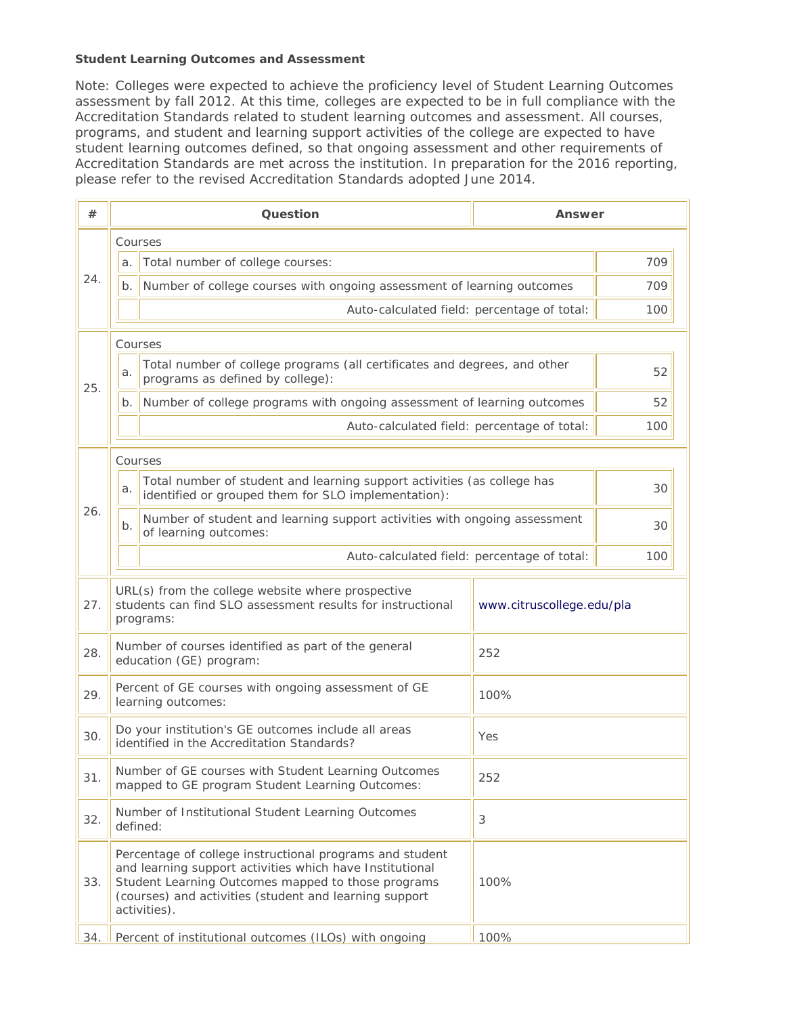## **Student Learning Outcomes and Assessment**

Note: Colleges were expected to achieve the proficiency level of Student Learning Outcomes assessment by fall 2012. At this time, colleges are expected to be in full compliance with the Accreditation Standards related to student learning outcomes and assessment. All courses, programs, and student and learning support activities of the college are expected to have student learning outcomes defined, so that ongoing assessment and other requirements of Accreditation Standards are met across the institution. In preparation for the 2016 reporting, please refer to the revised Accreditation Standards adopted June 2014.

| #   | Question                                                                                                                                                                                                                                                     |                                                                                                                                | Answer |     |  |  |
|-----|--------------------------------------------------------------------------------------------------------------------------------------------------------------------------------------------------------------------------------------------------------------|--------------------------------------------------------------------------------------------------------------------------------|--------|-----|--|--|
|     | Courses                                                                                                                                                                                                                                                      |                                                                                                                                |        |     |  |  |
|     | a.                                                                                                                                                                                                                                                           | Total number of college courses:                                                                                               |        |     |  |  |
| 24. | b.                                                                                                                                                                                                                                                           | Number of college courses with ongoing assessment of learning outcomes                                                         |        | 709 |  |  |
|     |                                                                                                                                                                                                                                                              | Auto-calculated field: percentage of total:                                                                                    |        | 100 |  |  |
|     |                                                                                                                                                                                                                                                              | Courses                                                                                                                        |        |     |  |  |
| 25. | a.                                                                                                                                                                                                                                                           | Total number of college programs (all certificates and degrees, and other<br>programs as defined by college):                  |        |     |  |  |
|     | b.                                                                                                                                                                                                                                                           | Number of college programs with ongoing assessment of learning outcomes                                                        |        | 52  |  |  |
|     |                                                                                                                                                                                                                                                              | Auto-calculated field: percentage of total:                                                                                    |        | 100 |  |  |
|     |                                                                                                                                                                                                                                                              | Courses                                                                                                                        |        |     |  |  |
|     | a.                                                                                                                                                                                                                                                           | Total number of student and learning support activities (as college has<br>identified or grouped them for SLO implementation): |        |     |  |  |
| 26. | b.                                                                                                                                                                                                                                                           | Number of student and learning support activities with ongoing assessment<br>of learning outcomes:                             |        | 30  |  |  |
|     | Auto-calculated field: percentage of total:                                                                                                                                                                                                                  |                                                                                                                                |        | 100 |  |  |
| 27. | URL(s) from the college website where prospective<br>students can find SLO assessment results for instructional<br>www.citruscollege.edu/pla<br>programs:                                                                                                    |                                                                                                                                |        |     |  |  |
| 28. | Number of courses identified as part of the general<br>252<br>education (GE) program:                                                                                                                                                                        |                                                                                                                                |        |     |  |  |
| 29. | Percent of GE courses with ongoing assessment of GE<br>100%<br>learning outcomes:                                                                                                                                                                            |                                                                                                                                |        |     |  |  |
| 30. | Do your institution's GE outcomes include all areas<br>Yes<br>identified in the Accreditation Standards?                                                                                                                                                     |                                                                                                                                |        |     |  |  |
| 31. | Number of GE courses with Student Learning Outcomes<br>252<br>mapped to GE program Student Learning Outcomes:                                                                                                                                                |                                                                                                                                |        |     |  |  |
| 32. | Number of Institutional Student Learning Outcomes<br>3<br>defined:                                                                                                                                                                                           |                                                                                                                                |        |     |  |  |
| 33. | Percentage of college instructional programs and student<br>and learning support activities which have Institutional<br>Student Learning Outcomes mapped to those programs<br>100%<br>(courses) and activities (student and learning support<br>activities). |                                                                                                                                |        |     |  |  |
| 34. | Percent of institutional outcomes (ILOs) with ongoing<br>100%                                                                                                                                                                                                |                                                                                                                                |        |     |  |  |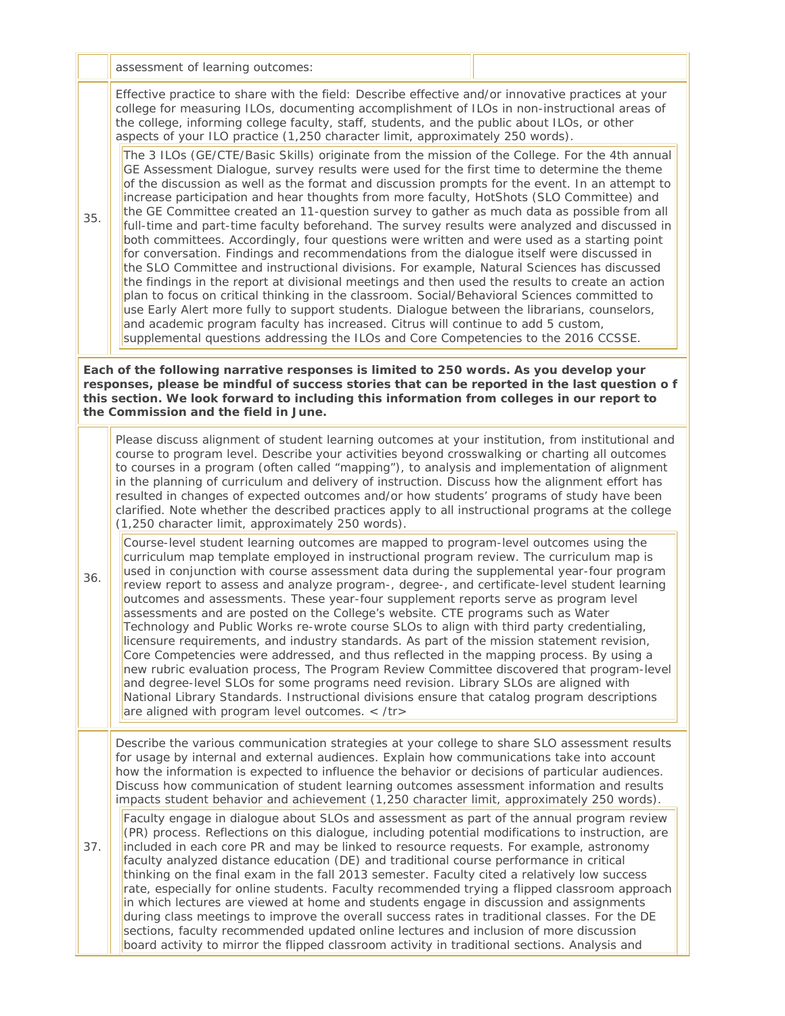assessment of learning outcomes:

Effective practice to share with the field: Describe effective and/or innovative practices at your college for measuring ILOs, documenting accomplishment of ILOs in non-instructional areas of the college, informing college faculty, staff, students, and the public about ILOs, or other aspects of your ILO practice (1,250 character limit, approximately 250 words).

The 3 ILOs (GE/CTE/Basic Skills) originate from the mission of the College. For the 4th annual GE Assessment Dialogue, survey results were used for the first time to determine the theme of the discussion as well as the format and discussion prompts for the event. In an attempt to increase participation and hear thoughts from more faculty, HotShots (SLO Committee) and the GE Committee created an 11-question survey to gather as much data as possible from all full-time and part-time faculty beforehand. The survey results were analyzed and discussed in both committees. Accordingly, four questions were written and were used as a starting point for conversation. Findings and recommendations from the dialogue itself were discussed in the SLO Committee and instructional divisions. For example, Natural Sciences has discussed the findings in the report at divisional meetings and then used the results to create an action plan to focus on critical thinking in the classroom. Social/Behavioral Sciences committed to use Early Alert more fully to support students. Dialogue between the librarians, counselors, and academic program faculty has increased. Citrus will continue to add 5 custom, supplemental questions addressing the ILOs and Core Competencies to the 2016 CCSSE.

**Each of the following narrative responses is limited to 250 words. As you develop your responses, please be mindful of success stories that can be reported in the last question o f this section. We look forward to including this information from colleges in our report to the Commission and the field in June.**

Please discuss alignment of student learning outcomes at your institution, from institutional and course to program level. Describe your activities beyond crosswalking or charting all outcomes to courses in a program (often called "mapping"), to analysis and implementation of alignment in the planning of curriculum and delivery of instruction. Discuss how the alignment effort has resulted in changes of expected outcomes and/or how students' programs of study have been clarified. Note whether the described practices apply to all instructional programs at the college (1,250 character limit, approximately 250 words).

Course-level student learning outcomes are mapped to program-level outcomes using the curriculum map template employed in instructional program review. The curriculum map is used in conjunction with course assessment data during the supplemental year-four program review report to assess and analyze program-, degree-, and certificate-level student learning outcomes and assessments. These year-four supplement reports serve as program level assessments and are posted on the College's website. CTE programs such as Water Technology and Public Works re-wrote course SLOs to align with third party credentialing, licensure requirements, and industry standards. As part of the mission statement revision, Core Competencies were addressed, and thus reflected in the mapping process. By using a new rubric evaluation process, The Program Review Committee discovered that program-level and degree-level SLOs for some programs need revision. Library SLOs are aligned with National Library Standards. Instructional divisions ensure that catalog program descriptions are aligned with program level outcomes. < /tr>

Describe the various communication strategies at your college to share SLO assessment results for usage by internal and external audiences. Explain how communications take into account how the information is expected to influence the behavior or decisions of particular audiences. Discuss how communication of student learning outcomes assessment information and results impacts student behavior and achievement (1,250 character limit, approximately 250 words).

37. Faculty engage in dialogue about SLOs and assessment as part of the annual program review (PR) process. Reflections on this dialogue, including potential modifications to instruction, are included in each core PR and may be linked to resource requests. For example, astronomy faculty analyzed distance education (DE) and traditional course performance in critical thinking on the final exam in the fall 2013 semester. Faculty cited a relatively low success rate, especially for online students. Faculty recommended trying a flipped classroom approach in which lectures are viewed at home and students engage in discussion and assignments during class meetings to improve the overall success rates in traditional classes. For the DE sections, faculty recommended updated online lectures and inclusion of more discussion board activity to mirror the flipped classroom activity in traditional sections. Analysis and

35.

36.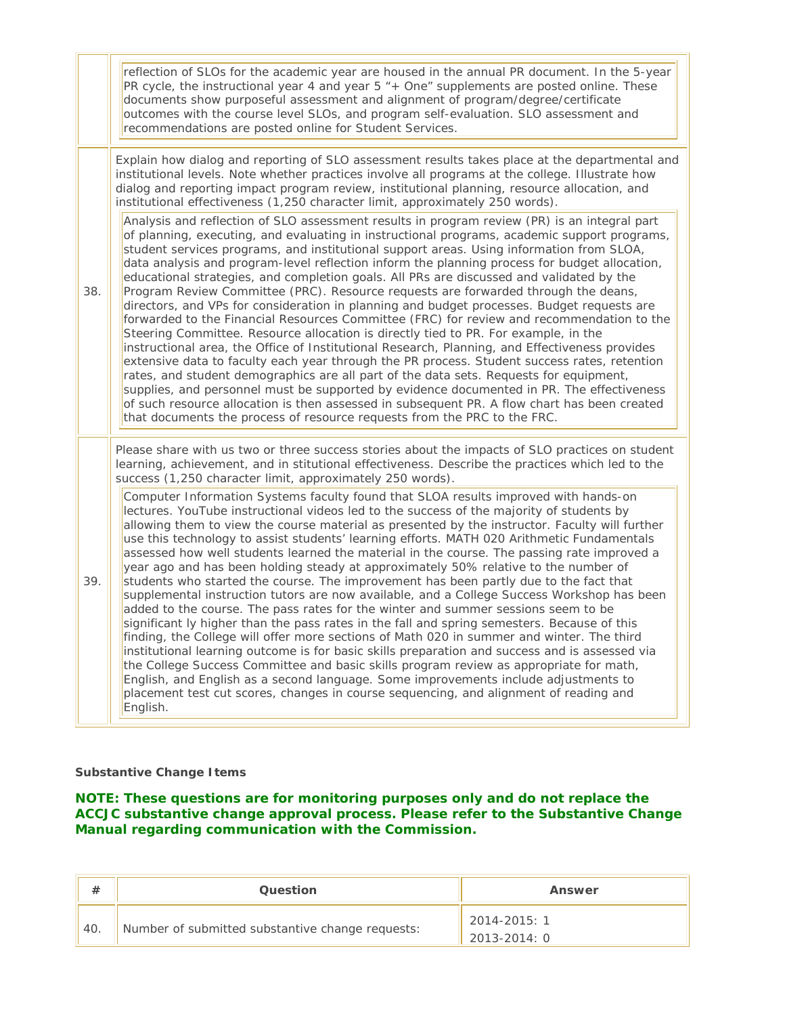|     | reflection of SLOs for the academic year are housed in the annual PR document. In the 5-year<br>PR cycle, the instructional year 4 and year 5 "+ One" supplements are posted online. These<br>documents show purposeful assessment and alignment of program/degree/certificate<br>outcomes with the course level SLOs, and program self-evaluation. SLO assessment and<br>recommendations are posted online for Student Services.                                                                                                                                                                                                                                                                                                                                                                                                                                                                                                                                                                                                                                                                                                                                                                                                                                                                                                                                                                                                    |
|-----|--------------------------------------------------------------------------------------------------------------------------------------------------------------------------------------------------------------------------------------------------------------------------------------------------------------------------------------------------------------------------------------------------------------------------------------------------------------------------------------------------------------------------------------------------------------------------------------------------------------------------------------------------------------------------------------------------------------------------------------------------------------------------------------------------------------------------------------------------------------------------------------------------------------------------------------------------------------------------------------------------------------------------------------------------------------------------------------------------------------------------------------------------------------------------------------------------------------------------------------------------------------------------------------------------------------------------------------------------------------------------------------------------------------------------------------|
|     | Explain how dialog and reporting of SLO assessment results takes place at the departmental and<br>institutional levels. Note whether practices involve all programs at the college. Illustrate how<br>dialog and reporting impact program review, institutional planning, resource allocation, and<br>institutional effectiveness (1,250 character limit, approximately 250 words).                                                                                                                                                                                                                                                                                                                                                                                                                                                                                                                                                                                                                                                                                                                                                                                                                                                                                                                                                                                                                                                  |
| 38. | Analysis and reflection of SLO assessment results in program review (PR) is an integral part<br>of planning, executing, and evaluating in instructional programs, academic support programs,<br>student services programs, and institutional support areas. Using information from SLOA,<br>data analysis and program-level reflection inform the planning process for budget allocation,<br>educational strategies, and completion goals. All PRs are discussed and validated by the<br>Program Review Committee (PRC). Resource requests are forwarded through the deans,<br>directors, and VPs for consideration in planning and budget processes. Budget requests are<br>forwarded to the Financial Resources Committee (FRC) for review and recommendation to the<br>Steering Committee. Resource allocation is directly tied to PR. For example, in the<br>instructional area, the Office of Institutional Research, Planning, and Effectiveness provides<br>extensive data to faculty each year through the PR process. Student success rates, retention<br>rates, and student demographics are all part of the data sets. Requests for equipment,<br>supplies, and personnel must be supported by evidence documented in PR. The effectiveness<br>of such resource allocation is then assessed in subsequent PR. A flow chart has been created<br>that documents the process of resource requests from the PRC to the FRC.   |
| 39. | Please share with us two or three success stories about the impacts of SLO practices on student<br>learning, achievement, and in stitutional effectiveness. Describe the practices which led to the<br>success (1,250 character limit, approximately 250 words).                                                                                                                                                                                                                                                                                                                                                                                                                                                                                                                                                                                                                                                                                                                                                                                                                                                                                                                                                                                                                                                                                                                                                                     |
|     | Computer Information Systems faculty found that SLOA results improved with hands-on<br>lectures. YouTube instructional videos led to the success of the majority of students by<br>allowing them to view the course material as presented by the instructor. Faculty will further<br>use this technology to assist students' learning efforts. MATH 020 Arithmetic Fundamentals<br>assessed how well students learned the material in the course. The passing rate improved a<br>year ago and has been holding steady at approximately 50% relative to the number of<br>students who started the course. The improvement has been partly due to the fact that<br>supplemental instruction tutors are now available, and a College Success Workshop has been<br>added to the course. The pass rates for the winter and summer sessions seem to be<br>significant ly higher than the pass rates in the fall and spring semesters. Because of this<br>finding, the College will offer more sections of Math 020 in summer and winter. The third<br>Institutional learning outcome is for basic skills preparation and success and is assessed via<br>the College Success Committee and basic skills program review as appropriate for math,<br>English, and English as a second language. Some improvements include adjustments to<br>placement test cut scores, changes in course sequencing, and alignment of reading and<br>English. |

# **Substantive Change Items**

**NOTE: These questions are for monitoring purposes only and do not replace the ACCJC substantive change approval process. Please refer to the Substantive Change Manual regarding communication with the Commission.**

| #   | Question                                         | Answer                       |
|-----|--------------------------------------------------|------------------------------|
| -40 | Number of submitted substantive change requests: | 2014-2015: 1<br>2013-2014: 0 |